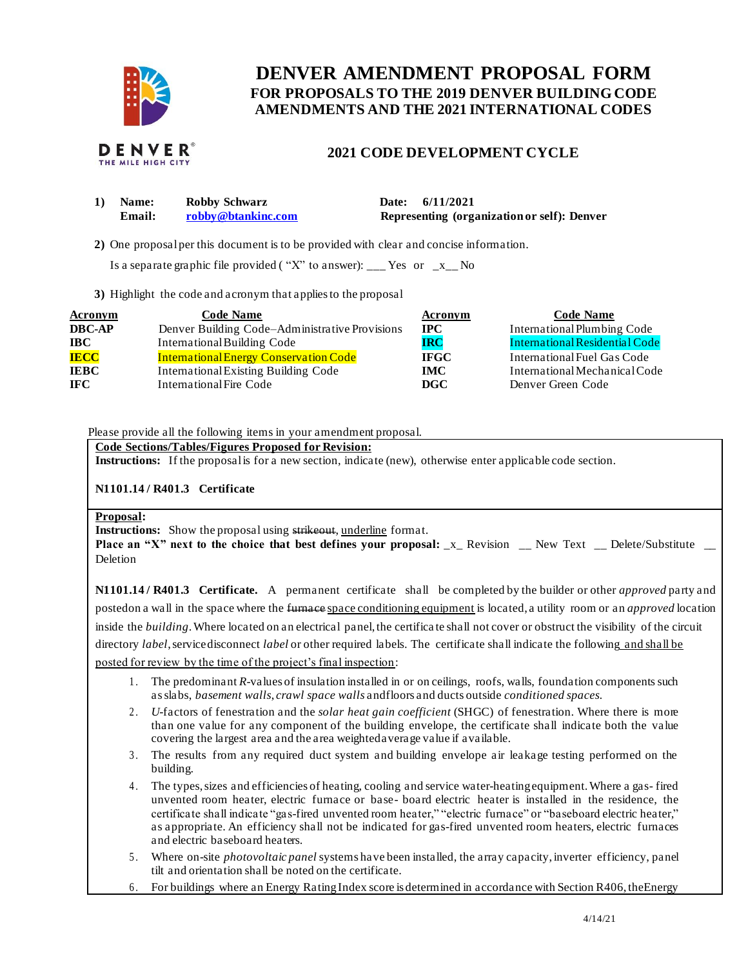

# **FOR PROPOSALS TO THE 2019 DENVER BUILDING CODE DENVER AMENDMENT PROPOSAL FORM AMENDMENTS AND THE 2021 INTERNATIONAL CODES**



# **2021 CODE DEVELOPMENT CYCLE**

| <b>Name:</b> | Robby Schwarz      | Date: $6/11/2021$                           |
|--------------|--------------------|---------------------------------------------|
| Email:       | robby@btankinc.com | Representing (organization or self): Denver |

**2)** One proposalper this document is to be provided with clear and concise information.

Is a separate graphic file provided ("X" to answer): \_\_\_ Yes or  $-x$  No

**3)** Highlight the code and acronym that applies to the proposal

| <b>Acronym</b> | <b>Code Name</b>                               | Acronym     | <b>Code Name</b>               |
|----------------|------------------------------------------------|-------------|--------------------------------|
| <b>DBC-AP</b>  | Denver Building Code–Administrative Provisions | <b>IPC</b>  | International Plumbing Code    |
| <b>IBC</b>     | International Building Code                    | <b>IRC</b>  | International Residential Code |
| <b>IECC</b>    | <b>International Energy Conservation Code</b>  | <b>IFGC</b> | International Fuel Gas Code    |
| <b>IEBC</b>    | International Existing Building Code           | <b>IMC</b>  | International Mechanical Code  |
| IFC.           | International Fire Code                        | DGC         | Denver Green Code              |

Please provide all the following items in your amendment proposal.

 **Code Sections/Tables/Figures Proposed for Revision:** 

**Instructions:** If the proposalis for a new section, indicate (new), otherwise enter applicable code section.

## **N1101.14 / R401.3 Certificate**

#### **Proposal:**

**Instructions:** Show the proposal using strikeout, underline format.

 **Place an "X" next to the choice that best defines your proposal:** \_x\_ Revision \_\_ New Text \_\_ Delete/Substitute \_\_ Deletion

 **N1101.14 / R401.3 Certificate.** A permanent certificate shall be completed by the builder or other *approved* party and postedon a wall in the space where the furnace space conditioning equipment is located, a utility room or an *approved* location inside the *building*.Where located on an electrical panel, the certifica te shall not cover or obstruct the visibility of the circuit directory *label*, service disconnect *label* or other required labels. The certificate shall indicate the following and shall be posted for review by the time of the project's final inspection:

- 1. The predominant *R*-values of insulation installed in or on ceilings, roofs, walls, foundation components such as slabs, *basement walls*, *crawl space walls* andfloors and ducts outside *conditioned spaces.*
- 2. *U*-factors of fenestration and the *solar heat gain coefficient* (SHGC) of fenestration. Where there is more than one value for any component of the building envelope, the certificate shall indicate both the value covering the largest area and the area weightedaverage value if available.
- 3. The results from any required duct system and building envelope air leakage testing performed on the building.
- 4. The types, sizes and efficiencies of heating, cooling and service water-heatingequipment. Where a gas- fired unvented room heater, electric furnace or base- board electric heater is installed in the residence, the certificate shall indicate "gas-fired unvented room heater," "electric furnace" or "baseboard electric heater," as appropriate. An efficiency shall not be indicated for gas-fired unvented room heaters, electric furnaces and electric baseboard heaters.
- 5. Where on-site *photovoltaic panel* systems have been installed, the array capacity, inverter efficiency, panel tilt and orientation shall be noted on the certificate.
- 6. For buildings where an Energy RatingIndex score isdetermined in accordance with Section R406, theEnergy